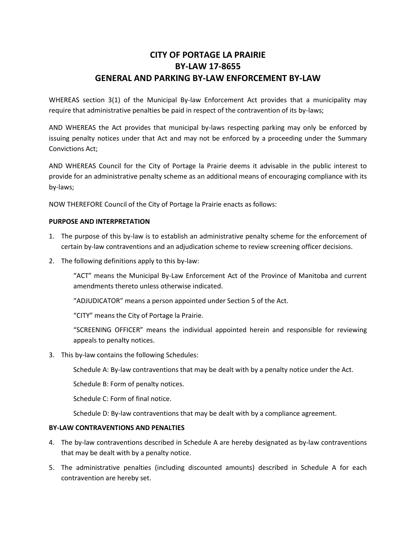### **CITY OF PORTAGE LA PRAIRIE BY-LAW 17-8655 GENERAL AND PARKING BY-LAW ENFORCEMENT BY-LAW**

WHEREAS section 3(1) of the Municipal By-law Enforcement Act provides that a municipality may require that administrative penalties be paid in respect of the contravention of its by-laws;

AND WHEREAS the Act provides that municipal by-laws respecting parking may only be enforced by issuing penalty notices under that Act and may not be enforced by a proceeding under the Summary Convictions Act;

AND WHEREAS Council for the City of Portage la Prairie deems it advisable in the public interest to provide for an administrative penalty scheme as an additional means of encouraging compliance with its by-laws;

NOW THEREFORE Council of the City of Portage la Prairie enacts as follows:

### **PURPOSE AND INTERPRETATION**

- 1. The purpose of this by-law is to establish an administrative penalty scheme for the enforcement of certain by-law contraventions and an adjudication scheme to review screening officer decisions.
- 2. The following definitions apply to this by-law:

"ACT" means the Municipal By-Law Enforcement Act of the Province of Manitoba and current amendments thereto unless otherwise indicated.

"ADJUDICATOR" means a person appointed under Section 5 of the Act.

"CITY" means the City of Portage la Prairie.

"SCREENING OFFICER" means the individual appointed herein and responsible for reviewing appeals to penalty notices.

3. This by-law contains the following Schedules:

Schedule A: By-law contraventions that may be dealt with by a penalty notice under the Act.

Schedule B: Form of penalty notices.

Schedule C: Form of final notice.

Schedule D: By-law contraventions that may be dealt with by a compliance agreement.

### **BY-LAW CONTRAVENTIONS AND PENALTIES**

- 4. The by-law contraventions described in Schedule A are hereby designated as by-law contraventions that may be dealt with by a penalty notice.
- 5. The administrative penalties (including discounted amounts) described in Schedule A for each contravention are hereby set.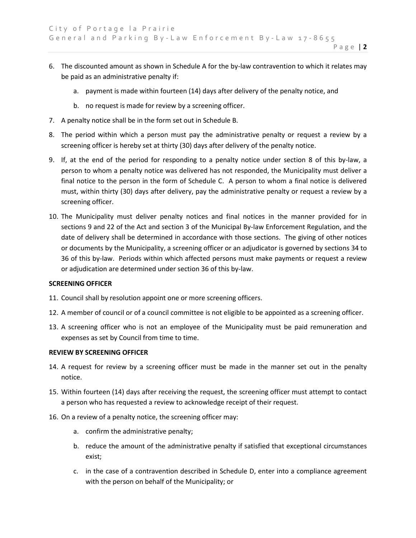6. The discounted amount as shown in Schedule A for the by-law contravention to which it relates may be paid as an administrative penalty if:

P a g e | **2**

- a. payment is made within fourteen (14) days after delivery of the penalty notice, and
- b. no request is made for review by a screening officer.
- 7. A penalty notice shall be in the form set out in Schedule B.
- 8. The period within which a person must pay the administrative penalty or request a review by a screening officer is hereby set at thirty (30) days after delivery of the penalty notice.
- 9. If, at the end of the period for responding to a penalty notice under section 8 of this by-law, a person to whom a penalty notice was delivered has not responded, the Municipality must deliver a final notice to the person in the form of Schedule C. A person to whom a final notice is delivered must, within thirty (30) days after delivery, pay the administrative penalty or request a review by a screening officer.
- 10. The Municipality must deliver penalty notices and final notices in the manner provided for in sections 9 and 22 of the Act and section 3 of the Municipal By-law Enforcement Regulation, and the date of delivery shall be determined in accordance with those sections. The giving of other notices or documents by the Municipality, a screening officer or an adjudicator is governed by sections 34 to 36 of this by-law. Periods within which affected persons must make payments or request a review or adjudication are determined under section 36 of this by-law.

#### **SCREENING OFFICER**

- 11. Council shall by resolution appoint one or more screening officers.
- 12. A member of council or of a council committee is not eligible to be appointed as a screening officer.
- 13. A screening officer who is not an employee of the Municipality must be paid remuneration and expenses as set by Council from time to time.

#### **REVIEW BY SCREENING OFFICER**

- 14. A request for review by a screening officer must be made in the manner set out in the penalty notice.
- 15. Within fourteen (14) days after receiving the request, the screening officer must attempt to contact a person who has requested a review to acknowledge receipt of their request.
- 16. On a review of a penalty notice, the screening officer may:
	- a. confirm the administrative penalty;
	- b. reduce the amount of the administrative penalty if satisfied that exceptional circumstances exist;
	- c. in the case of a contravention described in Schedule D, enter into a compliance agreement with the person on behalf of the Municipality; or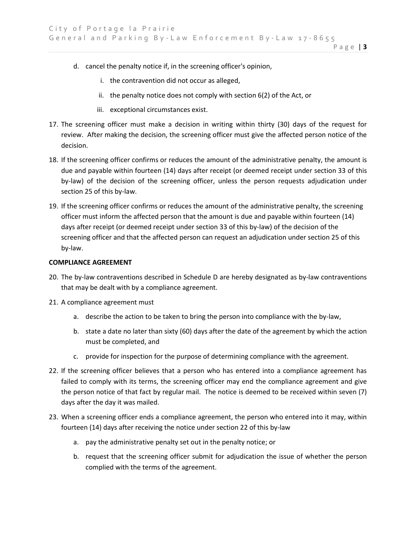P a g e | **3**

- d. cancel the penalty notice if, in the screening officer's opinion,
	- i. the contravention did not occur as alleged,
	- ii. the penalty notice does not comply with section 6(2) of the Act, or
	- iii. exceptional circumstances exist.
- 17. The screening officer must make a decision in writing within thirty (30) days of the request for review. After making the decision, the screening officer must give the affected person notice of the decision.
- 18. If the screening officer confirms or reduces the amount of the administrative penalty, the amount is due and payable within fourteen (14) days after receipt (or deemed receipt under section 33 of this by-law) of the decision of the screening officer, unless the person requests adjudication under section 25 of this by-law.
- 19. If the screening officer confirms or reduces the amount of the administrative penalty, the screening officer must inform the affected person that the amount is due and payable within fourteen (14) days after receipt (or deemed receipt under section 33 of this by-law) of the decision of the screening officer and that the affected person can request an adjudication under section 25 of this by-law.

#### **COMPLIANCE AGREEMENT**

- 20. The by-law contraventions described in Schedule D are hereby designated as by-law contraventions that may be dealt with by a compliance agreement.
- 21. A compliance agreement must
	- a. describe the action to be taken to bring the person into compliance with the by-law,
	- b. state a date no later than sixty (60) days after the date of the agreement by which the action must be completed, and
	- c. provide for inspection for the purpose of determining compliance with the agreement.
- 22. If the screening officer believes that a person who has entered into a compliance agreement has failed to comply with its terms, the screening officer may end the compliance agreement and give the person notice of that fact by regular mail. The notice is deemed to be received within seven (7) days after the day it was mailed.
- 23. When a screening officer ends a compliance agreement, the person who entered into it may, within fourteen (14) days after receiving the notice under section 22 of this by-law
	- a. pay the administrative penalty set out in the penalty notice; or
	- b. request that the screening officer submit for adjudication the issue of whether the person complied with the terms of the agreement.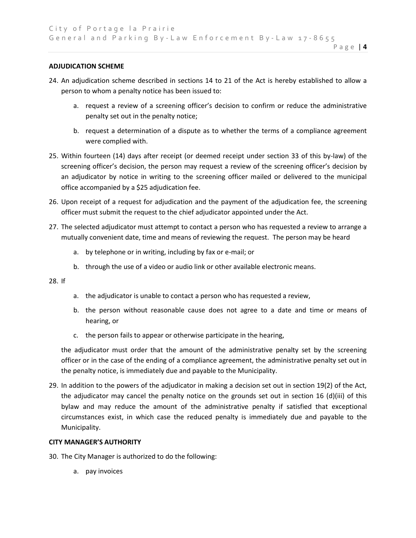#### **ADJUDICATION SCHEME**

- 24. An adjudication scheme described in sections 14 to 21 of the Act is hereby established to allow a person to whom a penalty notice has been issued to:
	- a. request a review of a screening officer's decision to confirm or reduce the administrative penalty set out in the penalty notice;

P a g e | **4**

- b. request a determination of a dispute as to whether the terms of a compliance agreement were complied with.
- 25. Within fourteen (14) days after receipt (or deemed receipt under section 33 of this by-law) of the screening officer's decision, the person may request a review of the screening officer's decision by an adjudicator by notice in writing to the screening officer mailed or delivered to the municipal office accompanied by a \$25 adjudication fee.
- 26. Upon receipt of a request for adjudication and the payment of the adjudication fee, the screening officer must submit the request to the chief adjudicator appointed under the Act.
- 27. The selected adjudicator must attempt to contact a person who has requested a review to arrange a mutually convenient date, time and means of reviewing the request. The person may be heard
	- a. by telephone or in writing, including by fax or e-mail; or
	- b. through the use of a video or audio link or other available electronic means.

#### 28. If

- a. the adjudicator is unable to contact a person who has requested a review,
- b. the person without reasonable cause does not agree to a date and time or means of hearing, or
- c. the person fails to appear or otherwise participate in the hearing,

the adjudicator must order that the amount of the administrative penalty set by the screening officer or in the case of the ending of a compliance agreement, the administrative penalty set out in the penalty notice, is immediately due and payable to the Municipality.

29. In addition to the powers of the adjudicator in making a decision set out in section 19(2) of the Act, the adjudicator may cancel the penalty notice on the grounds set out in section 16 (d)(iii) of this bylaw and may reduce the amount of the administrative penalty if satisfied that exceptional circumstances exist, in which case the reduced penalty is immediately due and payable to the Municipality.

### **CITY MANAGER'S AUTHORITY**

- 30. The City Manager is authorized to do the following:
	- a. pay invoices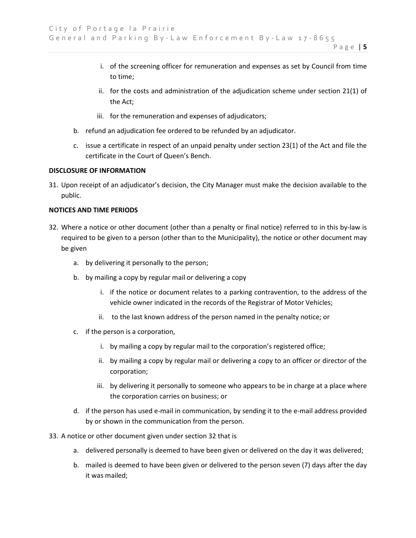- i. of the screening officer for remuneration and expenses as set by Council from time to time;
- ii. for the costs and administration of the adjudication scheme under section 21(1) of the Act;
- iii. for the remuneration and expenses of adjudicators;
- b. refund an adjudication fee ordered to be refunded by an adjudicator.
- c. issue a certificate in respect of an unpaid penalty under section 23(1) of the Act and file the certificate in the Court of Queen's Bench.

### **DISCLOSURE OF INFORMATION**

31. Upon receipt of an adjudicator's decision, the City Manager must make the decision available to the public.

### **NOTICES AND TIME PERIODS**

- 32. Where a notice or other document (other than a penalty or final notice) referred to in this by-law is required to be given to a person (other than to the Municipality), the notice or other document may be given
	- a. by delivering it personally to the person;
	- b. by mailing a copy by regular mail or delivering a copy
		- i. if the notice or document relates to a parking contravention, to the address of the vehicle owner indicated in the records of the Registrar of Motor Vehicles;
		- ii. to the last known address of the person named in the penalty notice; or
	- c. if the person is a corporation,
		- i. by mailing a copy by regular mail to the corporation's registered office;
		- ii. by mailing a copy by regular mail or delivering a copy to an officer or director of the corporation;
		- iii. by delivering it personally to someone who appears to be in charge at a place where the corporation carries on business; or
	- d. if the person has used e-mail in communication, by sending it to the e-mail address provided by or shown in the communication from the person.
- 33. A notice or other document given under section 32 that is
	- a. delivered personally is deemed to have been given or delivered on the day it was delivered;
	- b. mailed is deemed to have been given or delivered to the person seven (7) days after the day it was mailed;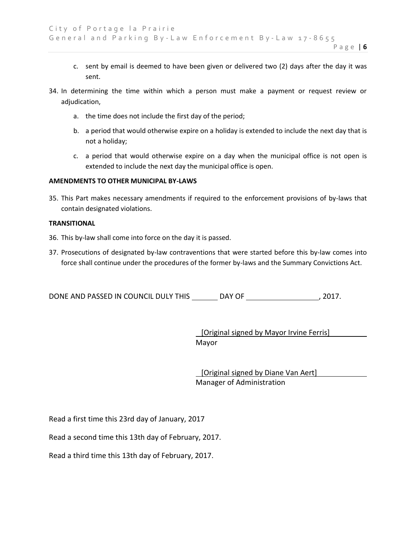- c. sent by email is deemed to have been given or delivered two (2) days after the day it was sent.
- 34. In determining the time within which a person must make a payment or request review or adjudication,
	- a. the time does not include the first day of the period;
	- b. a period that would otherwise expire on a holiday is extended to include the next day that is not a holiday;
	- c. a period that would otherwise expire on a day when the municipal office is not open is extended to include the next day the municipal office is open.

### **AMENDMENTS TO OTHER MUNICIPAL BY-LAWS**

35. This Part makes necessary amendments if required to the enforcement provisions of by-laws that contain designated violations.

### **TRANSITIONAL**

- 36. This by-law shall come into force on the day it is passed.
- 37. Prosecutions of designated by-law contraventions that were started before this by-law comes into force shall continue under the procedures of the former by-laws and the Summary Convictions Act.

DONE AND PASSED IN COUNCIL DULY THIS DAY OF , 2017.

 [Original signed by Mayor Irvine Ferris] Mayor

 [Original signed by Diane Van Aert] Manager of Administration

Read a first time this 23rd day of January, 2017

Read a second time this 13th day of February, 2017.

Read a third time this 13th day of February, 2017.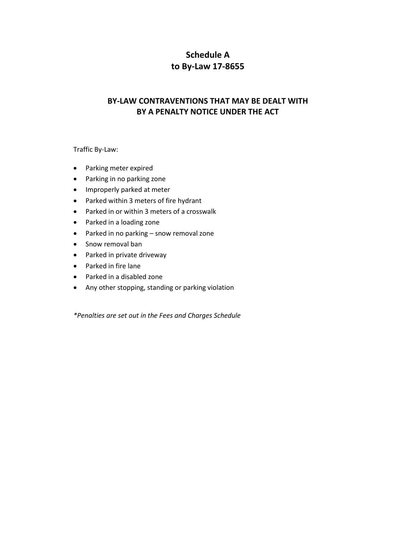## **Schedule A to By-Law 17-8655**

### **BY-LAW CONTRAVENTIONS THAT MAY BE DEALT WITH BY A PENALTY NOTICE UNDER THE ACT**

Traffic By-Law:

- Parking meter expired
- Parking in no parking zone
- Improperly parked at meter
- Parked within 3 meters of fire hydrant
- Parked in or within 3 meters of a crosswalk
- Parked in a loading zone
- Parked in no parking snow removal zone
- Snow removal ban
- Parked in private driveway
- Parked in fire lane
- Parked in a disabled zone
- Any other stopping, standing or parking violation

*\*Penalties are set out in the Fees and Charges Schedule*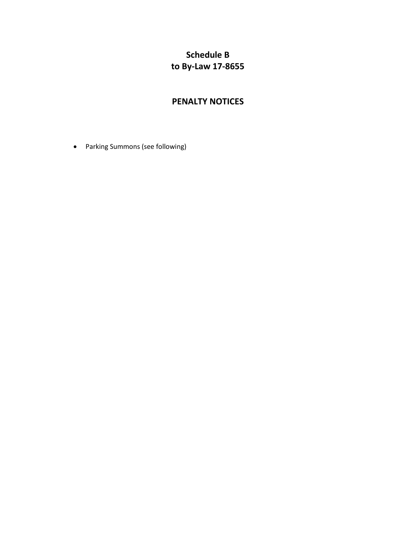## **Schedule B to By-Law 17-8655**

### **PENALTY NOTICES**

Parking Summons (see following)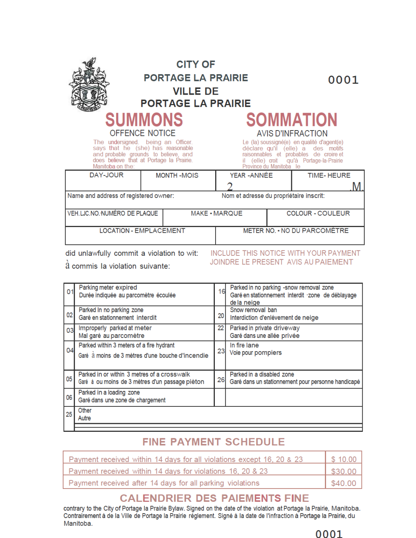|                                           | <b>CITY OF</b><br><b>PORTAGE LA PRAIRIE</b><br><b>VILLE DE</b><br><b>PORTAGE LA PRAIRIE</b>                                                                                                     |                                          |  | 0001                                                                                                                                                                                                                                            |  |
|-------------------------------------------|-------------------------------------------------------------------------------------------------------------------------------------------------------------------------------------------------|------------------------------------------|--|-------------------------------------------------------------------------------------------------------------------------------------------------------------------------------------------------------------------------------------------------|--|
| Manitoba on the:                          | <b>SUMMONS</b><br>OFFENCE NOTICE<br>The undersigned. being an Officer.<br>says that he (she) has reasonable<br>and probable grounds to believe, and<br>does believe that at Portage la Prairie. |                                          |  | <b>SOMMATION</b><br><b>AVIS D'INFRACTION</b><br>Le (la) soussigné(e) en qualité d'agent(e)<br>déclare qu'il (elle) a des motifs<br>raisonnables et probables de croire et<br>il (elle) croit qu'à Portage-la-Prairie<br>Province du Manitoba le |  |
| DAY-JOUR                                  | <b>MONTH-MOIS</b>                                                                                                                                                                               | YEAR - ANNÉE                             |  | <b>TIME-HEURE</b>                                                                                                                                                                                                                               |  |
| Name and address of registered owner:     |                                                                                                                                                                                                 | Nom et adresse du propriétaire inscrit:  |  |                                                                                                                                                                                                                                                 |  |
| VEH.LJC.NO. NUMÉRO DE PLAQUE              |                                                                                                                                                                                                 | <b>COLOUR - COULEUR</b><br>MAKE · MARQUE |  |                                                                                                                                                                                                                                                 |  |
| <b>LOCATION - EMPLACEMENT</b>             | METER NO. • NO DU PARCOMÈTRE                                                                                                                                                                    |                                          |  |                                                                                                                                                                                                                                                 |  |
| did unlawfully commit a violation to wit: |                                                                                                                                                                                                 |                                          |  | INCLUDE THIS NOTICE WITH VOLIR PAVMENT                                                                                                                                                                                                          |  |

ald unlawfully commit a violation to wit: à commis la violation suivante:

INCLUDE THIS NOTICE WITH YOUR PAYMENT JOINDRE LE PRESENT AVIS AU PAIEMENT

Parking meter expired Parked in no parking -snow removal zone 16  $01$ Durée indiquée au parcomètre écoulée Garé en stationnement interdit zone de déblayage de la neige Parked In no parking zone Snow removal ban 02 20 Interdiction d'enlévement de neige Garé en stationnement interdit Improperly parked at meter Parked in private driveway  $22$ 03 Mal garé au parcomètre Garé dans une allée privée Parked within 3 meters of a fire hydrant In fire lane 04 23 Voie pour pompiers Garé à moins de 3 mètres d'une bouche d'incendie Parked in or within 3 metres of a crosswalk Parked in a disabled zone 05 26 Garé à ou moins de 3 mètres d'un passage pièton Garé dans un stationnement pour personne handicapé Parked in a loading zone 06 Garé dans une zone de chargement Other 25 Autre

# **FINE PAYMENT SCHEDULE**

| Payment received within 14 days for all violations except 16, 20 & 23 | $\frac{1}{2}$ \$ 10.00 |
|-----------------------------------------------------------------------|------------------------|
| Payment received within 14 days for violations 16, 20 & 23            | \$30.00                |
| Payment received after 14 days for all parking violations             | \$40.00                |

## **CALENDRIER DES PAIEMENTS FINE**

contrary to the City of Portage la Prairie Bylaw. Signed on the date of the violation at Portage la Prairie, Manitoba. Contrairement à de la Ville de Portage la Prairie réglement. Signé à la date de l'infraction à Portage la Prairie, du Manitoba.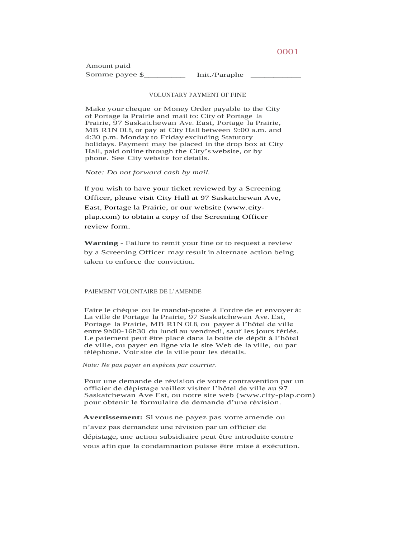Amount paid Somme payee \$\_\_\_\_\_\_\_\_\_\_\_\_\_\_\_\_\_\_\_ Init./Paraphe \_

#### VOLUNTARY PAYMENT OF FINE

Make your cheque or Money Order payable to the City of Portage la Prairie and mail to: City of Portage la Prairie, 97 Saskatchewan Ave. East, Portage la Prairie, MB R1N OL8, or pay at City Hall between 9:00 a.m. and 4:30 p.m. Monday to Friday excluding Statutory holidays. Payment may be placed in the drop box at City Hall, paid online through the City's website, or by phone. See City website for details.

*Note: Do not forward cash by mail.*

If you wish to have your ticket reviewed by a Screening Officer, please visit City Hall at 97 Saskatchewan Ave, East, Portage la Prairie, or our website (www.cityplap.com) to obtain a copy of the Screening Officer review form.

**Warning** - Failure to remit your fine or to request a review by a Screening Officer may result in alternate action being taken to enforce the conviction.

PAIEMENT VOLONTAIRE DE L'AMENDE

Faire le chèque ou le mandat-poste à l'ordre de et envoyer à: La ville de Portage la Prairie, 97 Saskatchewan Ave. Est, Portage la Prairie, MB R1N OL8, ou payer à l'hôtel de ville entre 9h00-16h30 du lundi au vendredi, sauf les jours fériés. Le paiement peut être placé dans la boite de dépôt à l'hôtel de ville, ou payer en ligne via le site Web de la ville, ou par téléphone. Voirsite de la ville pour les détails.

*Note: Ne pas payer en espèces par courrier.*

Pour une demande de révision de votre contravention par un officier de dépistage veillez visiter l'hôtel de ville au 97 Saskatchewan Ave Est, ou notre site web (www.city-plap.com) pour obtenir le formulaire de demande d'une révision.

**Avertissement:** Si vous ne payez pas votre amende ou n'avez pas demandez une révision par un officier de dépistage, une action subsidiaire peut être introduite contre vous afin que la condamnation puisse être mise à exécution.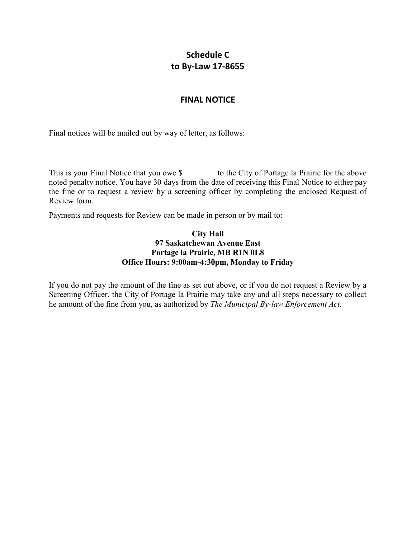## **Schedule C to By-Law 17-8655**

### **FINAL NOTICE**

Final notices will be mailed out by way of letter, as follows:

This is your Final Notice that you owe \$ to the City of Portage la Prairie for the above noted penalty notice. You have 30 days from the date of receiving this Final Notice to either pay the fine or to request a review by a screening officer by completing the enclosed Request of Review form.

Payments and requests for Review can be made in person or by mail to:

### **City Hall 97 Saskatchewan Avenue East Portage la Prairie, MB R1N 0L8 Office Hours: 9:00am-4:30pm, Monday to Friday**

If you do not pay the amount of the fine as set out above, or if you do not request a Review by a Screening Officer, the City of Portage la Prairie may take any and all steps necessary to collect he amount of the fine from you, as authorized by *The Municipal By-law Enforcement Act*.